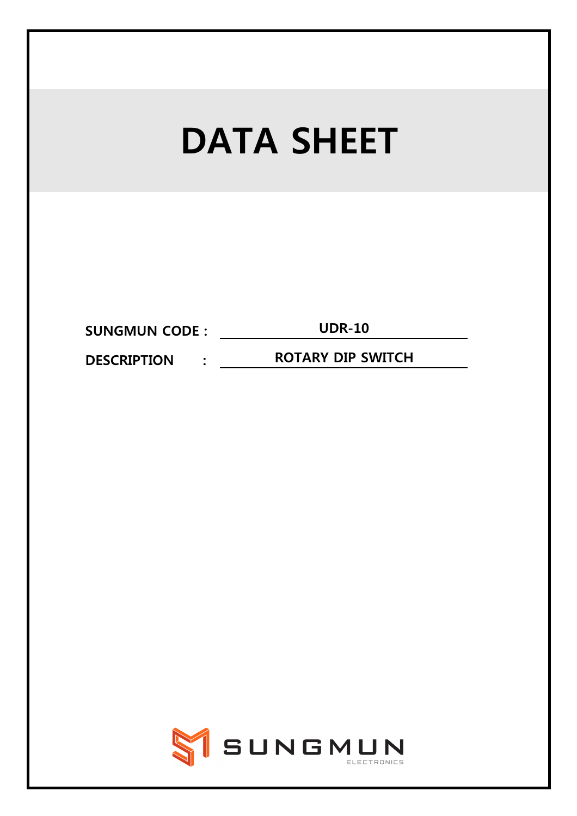| <b>DATA SHEET</b>                                                |  |  |  |
|------------------------------------------------------------------|--|--|--|
|                                                                  |  |  |  |
|                                                                  |  |  |  |
| <b>UDR-10</b><br><b>SUNGMUN CODE :</b>                           |  |  |  |
| <b>ROTARY DIP SWITCH</b><br><b>DESCRIPTION</b><br>$\ddot{\cdot}$ |  |  |  |
|                                                                  |  |  |  |
| SIGNUN<br>ELECTRONICS                                            |  |  |  |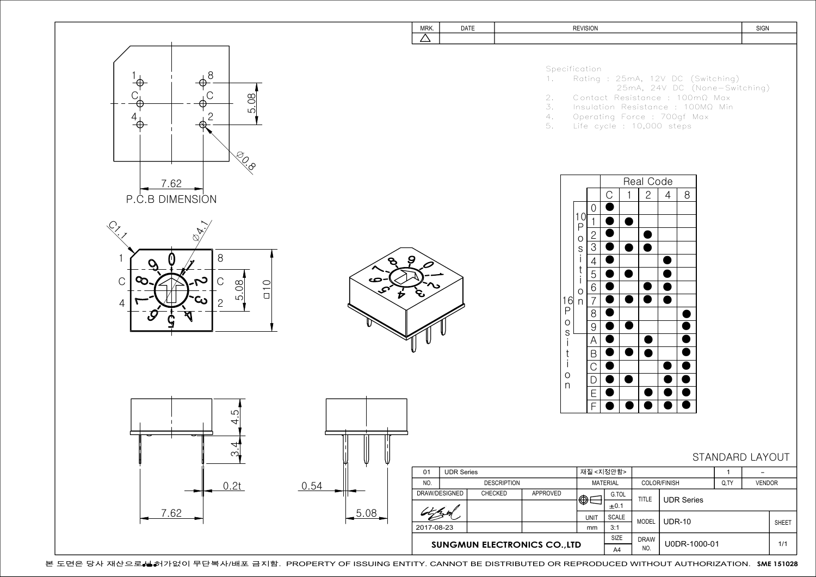

본 도면은 당사 재산으로**→ 허**가없이 무단복사/배포 금지함. PROPERTY OF ISSUING ENTITY. CANNOT BE DISTRIBUTED OR REPRODUCED WITHOUT AUTHORIZATION. SME 151028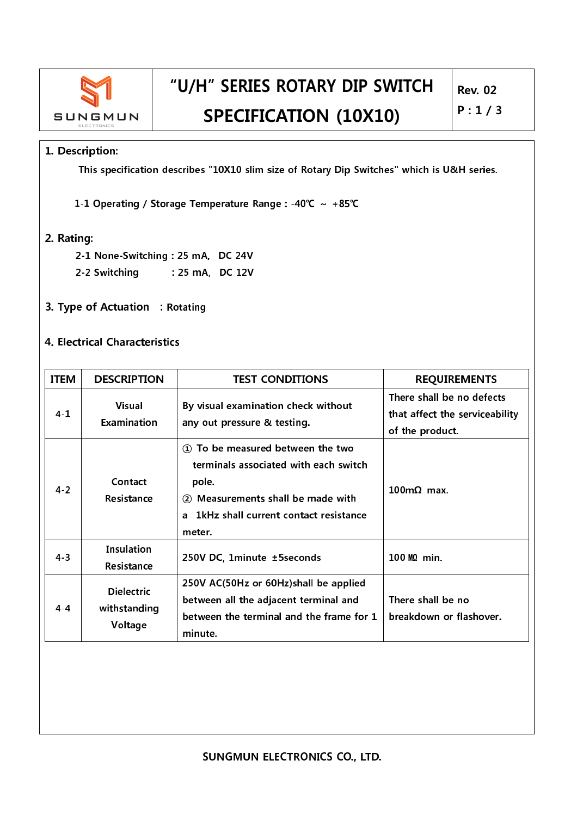

## "U/H" SERIES ROTARY DIP SWITCH **SPECIFICATION (10X10)**

### 1. Description:

This specification describes "10X10 slim size of Rotary Dip Switches" which is U&H series.

1-1 Operating / Storage Temperature Range : - 40℃ ~ +85℃

#### 2. Rating:

2-1 None-Switching: 25 mA, DC 24V

- 2-2 Switching : 25 mA, DC 12V
- 3. Type of Actuation : Rotating

#### 4. Electrical Characteristics

| <b>ITEM</b> | <b>DESCRIPTION</b>                                            | <b>TEST CONDITIONS</b>                                                                                                                                                        | <b>REQUIREMENTS</b>                                                            |
|-------------|---------------------------------------------------------------|-------------------------------------------------------------------------------------------------------------------------------------------------------------------------------|--------------------------------------------------------------------------------|
| $4 - 1$     | <b>Visual</b><br><b>Examination</b>                           | By visual examination check without<br>any out pressure & testing.                                                                                                            | There shall be no defects<br>that affect the serviceability<br>of the product. |
| $4 - 2$     | Contact<br>Resistance                                         | 1) To be measured between the two<br>terminals associated with each switch<br>pole.<br>2 Measurements shall be made with<br>a 1kHz shall current contact resistance<br>meter. | $100 \text{m}\Omega$ max.                                                      |
| $4 - 3$     | Insulation<br>250V DC, 1minute ±5seconds<br><b>Resistance</b> |                                                                                                                                                                               | 100 MQ min.                                                                    |
| $4 - 4$     | <b>Dielectric</b><br>withstanding<br>Voltage                  | 250V AC(50Hz or 60Hz)shall be applied<br>between all the adjacent terminal and<br>between the terminal and the frame for 1<br>minute.                                         | There shall be no<br>breakdown or flashover.                                   |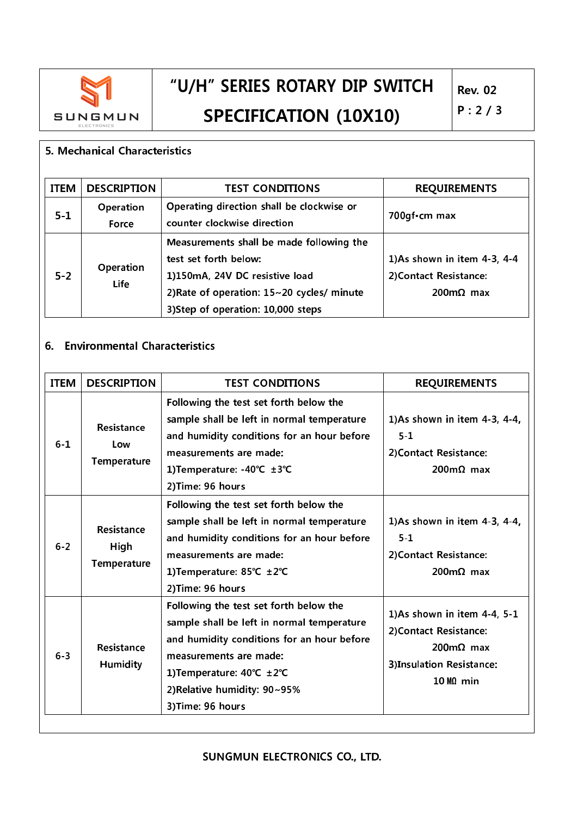

# "U/H" SERIES ROTARY DIP SWITCH **SPECIFICATION (10X10)**

#### 5. Mechanical Characteristics

| <b>ITEM</b> | <b>DESCRIPTION</b>       | <b>TEST CONDITIONS</b>                                                                                                                                                                  | <b>REQUIREMENTS</b>                                                               |
|-------------|--------------------------|-----------------------------------------------------------------------------------------------------------------------------------------------------------------------------------------|-----------------------------------------------------------------------------------|
| $5 - 1$     | Operation<br>Force       | Operating direction shall be clockwise or<br>counter clockwise direction                                                                                                                | 700gf · cm max                                                                    |
| $5 - 2$     | Operation<br><b>Life</b> | Measurements shall be made following the<br>test set forth below:<br>1)150mA, 24V DC resistive load<br>2) Rate of operation: 15~20 cycles/ minute<br>3) Step of operation: 10,000 steps | 1)As shown in item 4-3, 4-4<br>2) Contact Resistance:<br>$200 \text{m}\Omega$ max |

### 6. Environmental Characteristics

| <b>ITEM</b> | <b>DESCRIPTION</b>                       | <b>TEST CONDITIONS</b>                                                                                                                                                                                                                         | <b>REQUIREMENTS</b>                                                                                                            |
|-------------|------------------------------------------|------------------------------------------------------------------------------------------------------------------------------------------------------------------------------------------------------------------------------------------------|--------------------------------------------------------------------------------------------------------------------------------|
| $6 - 1$     | Resistance<br>Low<br><b>Temperature</b>  | Following the test set forth below the<br>sample shall be left in normal temperature<br>and humidity conditions for an hour before<br>measurements are made:<br>1) Temperature: -40℃ ±3℃<br>2) Time: 96 hours                                  | 1)As shown in item 4-3, 4-4,<br>$5 - 1$<br>2) Contact Resistance:<br>$200 \text{m}\Omega$ max                                  |
| $6 - 2$     | Resistance<br>High<br><b>Temperature</b> | Following the test set forth below the<br>sample shall be left in normal temperature<br>and humidity conditions for an hour before<br>measurements are made:<br>1) Temperature: 85°C ±2°C<br>2) Time: 96 hours                                 | 1)As shown in item 4-3, 4-4,<br>$5 - 1$<br>2) Contact Resistance:<br>$200 \text{m}\Omega$ max                                  |
| $6 - 3$     | Resistance<br>Humidity                   | Following the test set forth below the<br>sample shall be left in normal temperature<br>and humidity conditions for an hour before<br>measurements are made:<br>1) Temperature: 40°C ±2°C<br>2) Relative humidity: 90~95%<br>3) Time: 96 hours | 1)As shown in item 4-4, 5-1<br>2) Contact Resistance:<br>$200 \text{m}Ω$ max<br>3)Insulation Resistance:<br>$10 \text{ M}$ min |